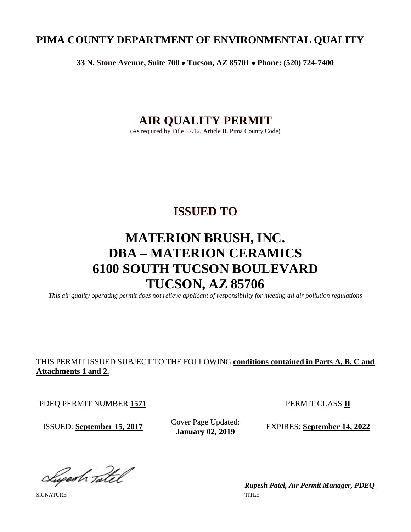# **PIMA COUNTY DEPARTMENT OF ENVIRONMENTAL QUALITY**

**33 N. Stone Avenue, Suite 700** • **Tucson, AZ 85701** • **Phone: (520) 724-7400**

# **AIR QUALITY PERMIT**

(As required by Title 17.12, Article II, Pima County Code)

# **ISSUED TO**

# **MATERION BRUSH, INC. DBA – MATERION CERAMICS 6100 SOUTH TUCSON BOULEVARD TUCSON, AZ 85706**

*This air quality operating permit does not relieve applicant of responsibility for meeting all air pollution regulations*

# THIS PERMIT ISSUED SUBJECT TO THE FOLLOWING **conditions contained in Parts A, B, C and Attachments 1 and 2.**

PDEQ PERMIT NUMBER 1571 PERMIT CLASS II

ISSUED: **September 15, 2017** Cover Page Updated:<br>January 02, 2019

**EXPIRES: September 14, 2022** 

Sugesh Tatel

SIGNATURE TITLE THE SERVER OF THE SERVER OF THE SERVER OF THE SERVER OF THE SERVER OF THE SERVER OF THE SERVER OF THE SERVER OF THE SERVER OF THE SERVER OF THE SERVER OF THE SERVER OF THE SERVER OF THE SERVER OF THE SERVER

*Rupesh Patel, Air Permit Manager, PDEQ*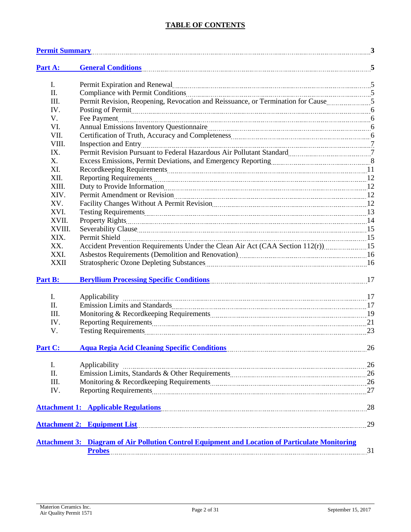# **TABLE OF CONTENTS**

|                | <u>Permit Summary 3</u>                                                                                                                                                                                                            |    |
|----------------|------------------------------------------------------------------------------------------------------------------------------------------------------------------------------------------------------------------------------------|----|
| Part A:        | General Conditions 5                                                                                                                                                                                                               |    |
| I.             | Permit Expiration and Renewal material contracts and contracts and Renewal material contracts and contracts and contracts are seen as a set of the set of the set of the set of the set of the set of the set of the set of th     |    |
| П.             | Compliance with Permit Conditions 2000 and 2000 and 2000 and 2000 and 2000 and 2000 and 2000 and 2000 and 2000 and 2000 and 2000 and 2000 and 2000 and 2000 and 2000 and 2000 and 2000 and 2000 and 2000 and 2000 and 2000 and     |    |
| Ш.             | Permit Revision, Reopening, Revocation and Reissuance, or Termination for Cause                                                                                                                                                    |    |
| IV.            | Posting of Permit <u>manual communications</u> and the contract of the contract of the contract of the contract of the contract of the contract of the contract of the contract of the contract of the contract of the contract of |    |
| V.             |                                                                                                                                                                                                                                    |    |
| VI.            |                                                                                                                                                                                                                                    |    |
| VII.           |                                                                                                                                                                                                                                    |    |
| VIII.          |                                                                                                                                                                                                                                    |    |
| IX.            | Permit Revision Pursuant to Federal Hazardous Air Pollutant Standard [111] [2012] Permit Revision Pursuant to Federal Hazardous Air Pollutant Standard                                                                             |    |
| X.             |                                                                                                                                                                                                                                    |    |
| XI.            |                                                                                                                                                                                                                                    |    |
| XII.           |                                                                                                                                                                                                                                    |    |
| XIII.          |                                                                                                                                                                                                                                    |    |
| XIV.           |                                                                                                                                                                                                                                    |    |
| XV.            | Facility Changes Without A Permit Revision [10] The Revision of Tacility Changes Without A Permit Revision [12                                                                                                                     |    |
| XVI.           |                                                                                                                                                                                                                                    |    |
| XVII.          |                                                                                                                                                                                                                                    |    |
| XVIII.         |                                                                                                                                                                                                                                    |    |
| XIX.           |                                                                                                                                                                                                                                    |    |
| XX.            | Accident Prevention Requirements Under the Clean Air Act (CAA Section 112(r))15                                                                                                                                                    |    |
| XXI.           |                                                                                                                                                                                                                                    |    |
| <b>XXII</b>    |                                                                                                                                                                                                                                    |    |
| Part B:        | <b>Beryllium Processing Specific Conditions</b> 27 17                                                                                                                                                                              |    |
| $\mathbf{I}$ . | Applicability                                                                                                                                                                                                                      |    |
| Π.             |                                                                                                                                                                                                                                    |    |
| Ш.             |                                                                                                                                                                                                                                    |    |
| IV.            | Reporting Requirements 21                                                                                                                                                                                                          |    |
| V.             |                                                                                                                                                                                                                                    |    |
| Part C:        | Aqua Regia Acid Cleaning Specific Conditions (26) 26                                                                                                                                                                               |    |
| I.             | Applicability 26                                                                                                                                                                                                                   |    |
| Π.             |                                                                                                                                                                                                                                    |    |
| Ш.             |                                                                                                                                                                                                                                    |    |
| IV.            | Reporting Requirements 27                                                                                                                                                                                                          |    |
|                |                                                                                                                                                                                                                                    |    |
|                | Attachment 1: Applicable Regulations 28                                                                                                                                                                                            |    |
|                | <b>Attachment 2: Equipment List</b>                                                                                                                                                                                                | 29 |
|                | <b>Attachment 3: Diagram of Air Pollution Control Equipment and Location of Particulate Monitoring</b>                                                                                                                             |    |
|                | <b>Probes</b>                                                                                                                                                                                                                      | 31 |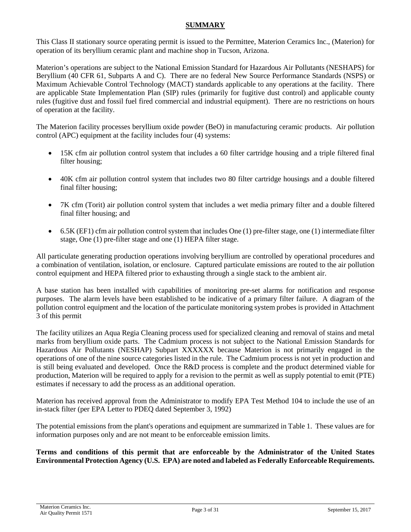### **SUMMARY**

<span id="page-2-0"></span>This Class II stationary source operating permit is issued to the Permittee, Materion Ceramics Inc., (Materion) for operation of its beryllium ceramic plant and machine shop in Tucson, Arizona.

Materion's operations are subject to the National Emission Standard for Hazardous Air Pollutants (NESHAPS) for Beryllium (40 CFR 61, Subparts A and C). There are no federal New Source Performance Standards (NSPS) or Maximum Achievable Control Technology (MACT) standards applicable to any operations at the facility. There are applicable State Implementation Plan (SIP) rules (primarily for fugitive dust control) and applicable county rules (fugitive dust and fossil fuel fired commercial and industrial equipment). There are no restrictions on hours of operation at the facility.

The Materion facility processes beryllium oxide powder (BeO) in manufacturing ceramic products. Air pollution control (APC) equipment at the facility includes four (4) systems:

- 15K cfm air pollution control system that includes a 60 filter cartridge housing and a triple filtered final filter housing;
- 40K cfm air pollution control system that includes two 80 filter cartridge housings and a double filtered final filter housing;
- 7K cfm (Torit) air pollution control system that includes a wet media primary filter and a double filtered final filter housing; and
- $\bullet$  6.5K (EF1) cfm air pollution control system that includes One (1) pre-filter stage, one (1) intermediate filter stage, One (1) pre-filter stage and one (1) HEPA filter stage.

All particulate generating production operations involving beryllium are controlled by operational procedures and a combination of ventilation, isolation, or enclosure. Captured particulate emissions are routed to the air pollution control equipment and HEPA filtered prior to exhausting through a single stack to the ambient air.

A base station has been installed with capabilities of monitoring pre-set alarms for notification and response purposes. The alarm levels have been established to be indicative of a primary filter failure. A diagram of the pollution control equipment and the location of the particulate monitoring system probes is provided in Attachment 3 of this permit

The facility utilizes an Aqua Regia Cleaning process used for specialized cleaning and removal of stains and metal marks from beryllium oxide parts. The Cadmium process is not subject to the National Emission Standards for Hazardous Air Pollutants (NESHAP) Subpart XXXXXX because Materion is not primarily engaged in the operations of one of the nine source categories listed in the rule. The Cadmium process is not yet in production and is still being evaluated and developed. Once the R&D process is complete and the product determined viable for production, Materion will be required to apply for a revision to the permit as well as supply potential to emit (PTE) estimates if necessary to add the process as an additional operation.

Materion has received approval from the Administrator to modify EPA Test Method 104 to include the use of an in-stack filter (per EPA Letter to PDEQ dated September 3, 1992)

The potential emissions from the plant's operations and equipment are summarized in Table 1. These values are for information purposes only and are not meant to be enforceable emission limits.

**Terms and conditions of this permit that are enforceable by the Administrator of the United States Environmental Protection Agency (U.S. EPA) are noted and labeled as Federally Enforceable Requirements.**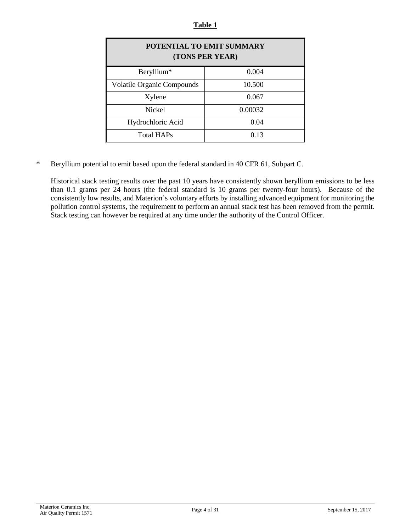#### **Table 1**

| POTENTIAL TO EMIT SUMMARY<br>(TONS PER YEAR) |         |  |  |  |
|----------------------------------------------|---------|--|--|--|
| Beryllium*                                   | 0.004   |  |  |  |
| <b>Volatile Organic Compounds</b>            | 10.500  |  |  |  |
| Xylene                                       | 0.067   |  |  |  |
| <b>Nickel</b>                                | 0.00032 |  |  |  |
| Hydrochloric Acid                            | 0.04    |  |  |  |
| <b>Total HAPs</b>                            | 0.13    |  |  |  |

\* Beryllium potential to emit based upon the federal standard in 40 CFR 61, Subpart C.

Historical stack testing results over the past 10 years have consistently shown beryllium emissions to be less than 0.1 grams per 24 hours (the federal standard is 10 grams per twenty-four hours). Because of the consistently low results, and Materion's voluntary efforts by installing advanced equipment for monitoring the pollution control systems, the requirement to perform an annual stack test has been removed from the permit. Stack testing can however be required at any time under the authority of the Control Officer.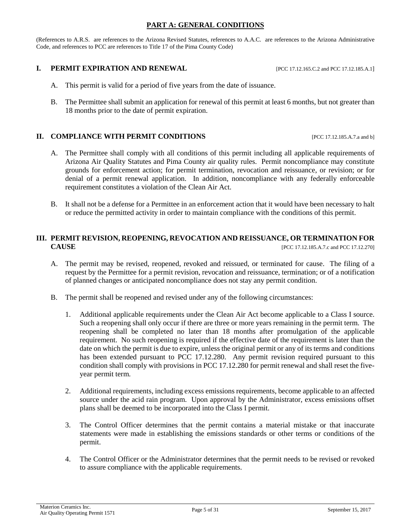#### **PART A: GENERAL CONDITIONS**

<span id="page-4-0"></span>(References to A.R.S. are references to the Arizona Revised Statutes, references to A.A.C. are references to the Arizona Administrative Code, and references to PCC are references to Title 17 of the Pima County Code)

#### **I. PERMIT EXPIRATION AND RENEWAL** [PCC 17.12.165.C.2 and PCC 17.12.185.A.1]

- A. This permit is valid for a period of five years from the date of issuance.
- B. The Permittee shall submit an application for renewal of this permit at least 6 months, but not greater than 18 months prior to the date of permit expiration.

#### **II. COMPLIANCE WITH PERMIT CONDITIONS** [PCC 17.12.185.A.7.a and b]

- A. The Permittee shall comply with all conditions of this permit including all applicable requirements of Arizona Air Quality Statutes and Pima County air quality rules. Permit noncompliance may constitute grounds for enforcement action; for permit termination, revocation and reissuance, or revision; or for denial of a permit renewal application. In addition, noncompliance with any federally enforceable requirement constitutes a violation of the Clean Air Act.
- B. It shall not be a defense for a Permittee in an enforcement action that it would have been necessary to halt or reduce the permitted activity in order to maintain compliance with the conditions of this permit.

# **III. PERMIT REVISION, REOPENING, REVOCATION AND REISSUANCE, OR TERMINATION FOR CAUSE** [PCC 17.12.185.A.7.c and PCC 17.12.270]

- A. The permit may be revised, reopened, revoked and reissued, or terminated for cause. The filing of a request by the Permittee for a permit revision, revocation and reissuance, termination; or of a notification of planned changes or anticipated noncompliance does not stay any permit condition.
- B. The permit shall be reopened and revised under any of the following circumstances:
	- 1. Additional applicable requirements under the Clean Air Act become applicable to a Class I source. Such a reopening shall only occur if there are three or more years remaining in the permit term. The reopening shall be completed no later than 18 months after promulgation of the applicable requirement. No such reopening is required if the effective date of the requirement is later than the date on which the permit is due to expire, unless the original permit or any of its terms and conditions has been extended pursuant to PCC 17.12.280. Any permit revision required pursuant to this condition shall comply with provisions in PCC 17.12.280 for permit renewal and shall reset the fiveyear permit term.
	- 2. Additional requirements, including excess emissions requirements, become applicable to an affected source under the acid rain program. Upon approval by the Administrator, excess emissions offset plans shall be deemed to be incorporated into the Class I permit.
	- 3. The Control Officer determines that the permit contains a material mistake or that inaccurate statements were made in establishing the emissions standards or other terms or conditions of the permit.
	- 4. The Control Officer or the Administrator determines that the permit needs to be revised or revoked to assure compliance with the applicable requirements.

Materion Ceramics Inc. Air Quality Operating Permit 1571 Page 5 of 31 September 15, 2017<br>Air Quality Operating Permit 1571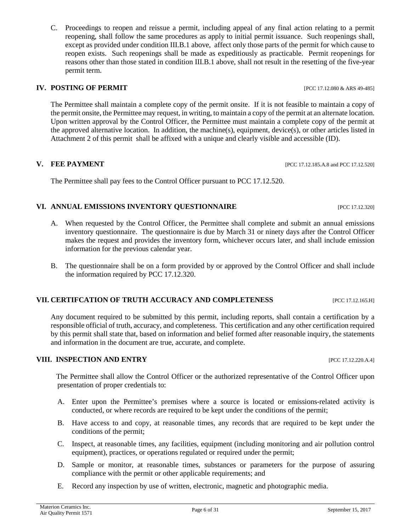C. Proceedings to reopen and reissue a permit, including appeal of any final action relating to a permit reopening, shall follow the same procedures as apply to initial permit issuance. Such reopenings shall, except as provided under condition III.B.1 above, affect only those parts of the permit for which cause to reopen exists. Such reopenings shall be made as expeditiously as practicable. Permit reopenings for reasons other than those stated in condition III.B.1 above, shall not result in the resetting of the five-year permit term.

#### **IV. POSTING OF PERMIT IV. POSTING OF PERMIT**

The Permittee shall maintain a complete copy of the permit onsite. If it is not feasible to maintain a copy of the permit onsite, the Permittee may request, in writing, to maintain a copy of the permit at an alternate location. Upon written approval by the Control Officer, the Permittee must maintain a complete copy of the permit at the approved alternative location. In addition, the machine(s), equipment, device(s), or other articles listed in Attachment 2 of this permit shall be affixed with a unique and clearly visible and accessible (ID).

#### **V. FEE PAYMENT [PCC 17.12.185.A.8 and PCC 17.12.520]**

The Permittee shall pay fees to the Control Officer pursuant to PCC 17.12.520.

#### **VI. ANNUAL EMISSIONS INVENTORY QUESTIONNAIRE** [PCC 17.12.320]

- A. When requested by the Control Officer, the Permittee shall complete and submit an annual emissions inventory questionnaire. The questionnaire is due by March 31 or ninety days after the Control Officer makes the request and provides the inventory form, whichever occurs later, and shall include emission information for the previous calendar year.
- B. The questionnaire shall be on a form provided by or approved by the Control Officer and shall include the information required by PCC 17.12.320.

#### **VII. CERTIFCATION OF TRUTH ACCURACY AND COMPLETENESS** [PCC 17.12.165.H]

Any document required to be submitted by this permit, including reports, shall contain a certification by a responsible official of truth, accuracy, and completeness. This certification and any other certification required by this permit shall state that, based on information and belief formed after reasonable inquiry, the statements and information in the document are true, accurate, and complete.

#### **VIII. INSPECTION AND ENTRY** [PCC 17.12.220.A.4]

The Permittee shall allow the Control Officer or the authorized representative of the Control Officer upon presentation of proper credentials to:

- A. Enter upon the Permittee's premises where a source is located or emissions-related activity is conducted, or where records are required to be kept under the conditions of the permit;
- B. Have access to and copy, at reasonable times, any records that are required to be kept under the conditions of the permit;
- C. Inspect, at reasonable times, any facilities, equipment (including monitoring and air pollution control equipment), practices, or operations regulated or required under the permit;
- D. Sample or monitor, at reasonable times, substances or parameters for the purpose of assuring compliance with the permit or other applicable requirements; and
- E. Record any inspection by use of written, electronic, magnetic and photographic media.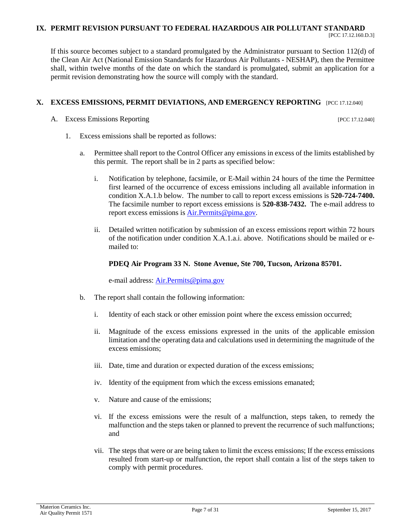#### **IX. PERMIT REVISION PURSUANT TO FEDERAL HAZARDOUS AIR POLLUTANT STANDARD**

If this source becomes subject to a standard promulgated by the Administrator pursuant to Section 112(d) of the Clean Air Act (National Emission Standards for Hazardous Air Pollutants - NESHAP), then the Permittee shall, within twelve months of the date on which the standard is promulgated, submit an application for a permit revision demonstrating how the source will comply with the standard.

### **X. EXCESS EMISSIONS, PERMIT DEVIATIONS, AND EMERGENCY REPORTING** [PCC 17.12.040]

A. Excess Emissions Reporting **Excess** Emissions Reporting **Excess** Emissions **Reporting** 

- 1. Excess emissions shall be reported as follows:
	- a. Permittee shall report to the Control Officer any emissions in excess of the limits established by this permit. The report shall be in 2 parts as specified below:
		- i. Notification by telephone, facsimile, or E-Mail within 24 hours of the time the Permittee first learned of the occurrence of excess emissions including all available information in condition X.A.1.b below. The number to call to report excess emissions is **520-724-7400.**  The facsimile number to report excess emissions is **520-838-7432.** The e-mail address to report excess emissions i[s Air.Permits@pima.gov.](mailto:Air.Permits@pima.gov)
		- ii. Detailed written notification by submission of an excess emissions report within 72 hours of the notification under condition  $X_A A_1$  a.j. above. Notifications should be mailed or emailed to:

### **PDEQ Air Program 33 N. Stone Avenue, Ste 700, Tucson, Arizona 85701.**

e-mail address: **Air.Permits@pima.gov** 

- b. The report shall contain the following information:
	- i. Identity of each stack or other emission point where the excess emission occurred;
	- ii. Magnitude of the excess emissions expressed in the units of the applicable emission limitation and the operating data and calculations used in determining the magnitude of the excess emissions;
	- iii. Date, time and duration or expected duration of the excess emissions;
	- iv. Identity of the equipment from which the excess emissions emanated;
	- v. Nature and cause of the emissions;
	- vi. If the excess emissions were the result of a malfunction, steps taken, to remedy the malfunction and the steps taken or planned to prevent the recurrence of such malfunctions; and
	- vii. The steps that were or are being taken to limit the excess emissions; If the excess emissions resulted from start-up or malfunction, the report shall contain a list of the steps taken to comply with permit procedures.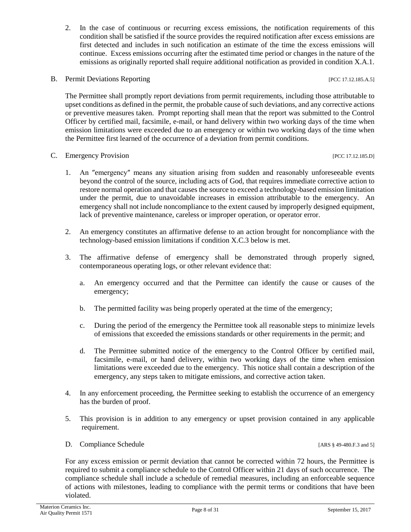- 2. In the case of continuous or recurring excess emissions, the notification requirements of this condition shall be satisfied if the source provides the required notification after excess emissions are first detected and includes in such notification an estimate of the time the excess emissions will continue. Excess emissions occurring after the estimated time period or changes in the nature of the emissions as originally reported shall require additional notification as provided in condition X.A.1.
- B. Permit Deviations Reporting [PCC 17.12.185.A.5]

The Permittee shall promptly report deviations from permit requirements, including those attributable to upset conditions as defined in the permit, the probable cause of such deviations, and any corrective actions or preventive measures taken. Prompt reporting shall mean that the report was submitted to the Control Officer by certified mail, facsimile, e-mail, or hand delivery within two working days of the time when emission limitations were exceeded due to an emergency or within two working days of the time when the Permittee first learned of the occurrence of a deviation from permit conditions.

- C. Emergency Provision [PCC 17.12.185.D]
	- 1. An ″emergency″ means any situation arising from sudden and reasonably unforeseeable events beyond the control of the source, including acts of God, that requires immediate corrective action to restore normal operation and that causes the source to exceed a technology-based emission limitation under the permit, due to unavoidable increases in emission attributable to the emergency. An emergency shall not include noncompliance to the extent caused by improperly designed equipment, lack of preventive maintenance, careless or improper operation, or operator error.
	- 2. An emergency constitutes an affirmative defense to an action brought for noncompliance with the technology-based emission limitations if condition X.C.3 below is met.
	- 3. The affirmative defense of emergency shall be demonstrated through properly signed, contemporaneous operating logs, or other relevant evidence that:
		- a. An emergency occurred and that the Permittee can identify the cause or causes of the emergency;
		- b. The permitted facility was being properly operated at the time of the emergency;
		- c. During the period of the emergency the Permittee took all reasonable steps to minimize levels of emissions that exceeded the emissions standards or other requirements in the permit; and
		- d. The Permittee submitted notice of the emergency to the Control Officer by certified mail, facsimile, e-mail, or hand delivery, within two working days of the time when emission limitations were exceeded due to the emergency. This notice shall contain a description of the emergency, any steps taken to mitigate emissions, and corrective action taken.
	- 4. In any enforcement proceeding, the Permittee seeking to establish the occurrence of an emergency has the burden of proof.
	- 5. This provision is in addition to any emergency or upset provision contained in any applicable requirement.
	- D. Compliance Schedule [ARS § 49-480.F.3 and 5]

For any excess emission or permit deviation that cannot be corrected within 72 hours, the Permittee is required to submit a compliance schedule to the Control Officer within 21 days of such occurrence. The compliance schedule shall include a schedule of remedial measures, including an enforceable sequence of actions with milestones, leading to compliance with the permit terms or conditions that have been violated.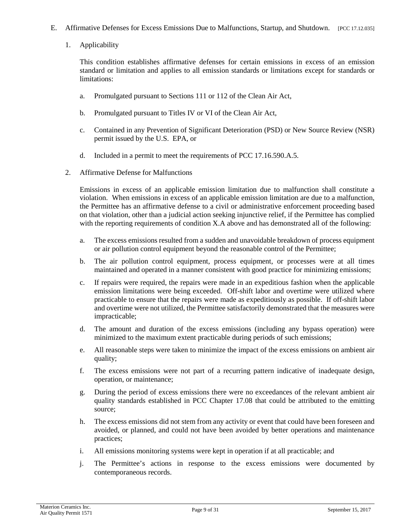- E. Affirmative Defenses for Excess Emissions Due to Malfunctions, Startup, and Shutdown. [PCC 17.12.035]
	- 1. Applicability

This condition establishes affirmative defenses for certain emissions in excess of an emission standard or limitation and applies to all emission standards or limitations except for standards or limitations:

- a. Promulgated pursuant to Sections 111 or 112 of the Clean Air Act,
- b. Promulgated pursuant to Titles IV or VI of the Clean Air Act,
- c. Contained in any Prevention of Significant Deterioration (PSD) or New Source Review (NSR) permit issued by the U.S. EPA, or
- d. Included in a permit to meet the requirements of PCC 17.16.590.A.5.
- 2. Affirmative Defense for Malfunctions

Emissions in excess of an applicable emission limitation due to malfunction shall constitute a violation. When emissions in excess of an applicable emission limitation are due to a malfunction, the Permittee has an affirmative defense to a civil or administrative enforcement proceeding based on that violation, other than a judicial action seeking injunctive relief, if the Permittee has complied with the reporting requirements of condition X.A above and has demonstrated all of the following:

- a. The excess emissions resulted from a sudden and unavoidable breakdown of process equipment or air pollution control equipment beyond the reasonable control of the Permittee;
- b. The air pollution control equipment, process equipment, or processes were at all times maintained and operated in a manner consistent with good practice for minimizing emissions;
- c. If repairs were required, the repairs were made in an expeditious fashion when the applicable emission limitations were being exceeded. Off-shift labor and overtime were utilized where practicable to ensure that the repairs were made as expeditiously as possible. If off-shift labor and overtime were not utilized, the Permittee satisfactorily demonstrated that the measures were impracticable;
- d. The amount and duration of the excess emissions (including any bypass operation) were minimized to the maximum extent practicable during periods of such emissions;
- e. All reasonable steps were taken to minimize the impact of the excess emissions on ambient air quality;
- f. The excess emissions were not part of a recurring pattern indicative of inadequate design, operation, or maintenance;
- g. During the period of excess emissions there were no exceedances of the relevant ambient air quality standards established in PCC Chapter 17.08 that could be attributed to the emitting source;
- h. The excess emissions did not stem from any activity or event that could have been foreseen and avoided, or planned, and could not have been avoided by better operations and maintenance practices;
- i. All emissions monitoring systems were kept in operation if at all practicable; and
- j. The Permittee's actions in response to the excess emissions were documented by contemporaneous records.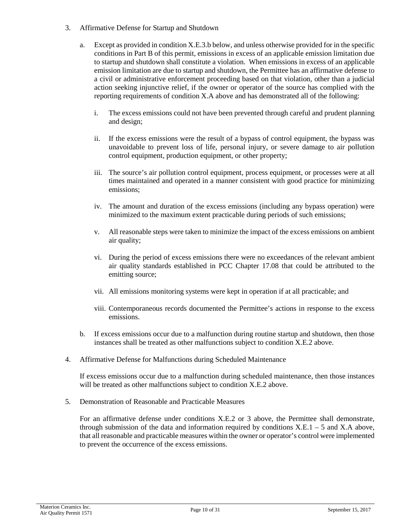- 3. Affirmative Defense for Startup and Shutdown
	- a. Except as provided in condition X.E.3.b below, and unless otherwise provided for in the specific conditions in Part B of this permit, emissions in excess of an applicable emission limitation due to startup and shutdown shall constitute a violation. When emissions in excess of an applicable emission limitation are due to startup and shutdown, the Permittee has an affirmative defense to a civil or administrative enforcement proceeding based on that violation, other than a judicial action seeking injunctive relief, if the owner or operator of the source has complied with the reporting requirements of condition X.A above and has demonstrated all of the following:
		- i. The excess emissions could not have been prevented through careful and prudent planning and design;
		- ii. If the excess emissions were the result of a bypass of control equipment, the bypass was unavoidable to prevent loss of life, personal injury, or severe damage to air pollution control equipment, production equipment, or other property;
		- iii. The source's air pollution control equipment, process equipment, or processes were at all times maintained and operated in a manner consistent with good practice for minimizing emissions;
		- iv. The amount and duration of the excess emissions (including any bypass operation) were minimized to the maximum extent practicable during periods of such emissions;
		- v. All reasonable steps were taken to minimize the impact of the excess emissions on ambient air quality;
		- vi. During the period of excess emissions there were no exceedances of the relevant ambient air quality standards established in PCC Chapter 17.08 that could be attributed to the emitting source;
		- vii. All emissions monitoring systems were kept in operation if at all practicable; and
		- viii. Contemporaneous records documented the Permittee's actions in response to the excess emissions.
	- b. If excess emissions occur due to a malfunction during routine startup and shutdown, then those instances shall be treated as other malfunctions subject to condition X.E.2 above.
- 4. Affirmative Defense for Malfunctions during Scheduled Maintenance

If excess emissions occur due to a malfunction during scheduled maintenance, then those instances will be treated as other malfunctions subject to condition X.E.2 above.

5. Demonstration of Reasonable and Practicable Measures

For an affirmative defense under conditions X.E.2 or 3 above, the Permittee shall demonstrate, through submission of the data and information required by conditions  $X.E.1 - 5$  and  $X.A$  above, that all reasonable and practicable measures within the owner or operator's control were implemented to prevent the occurrence of the excess emissions.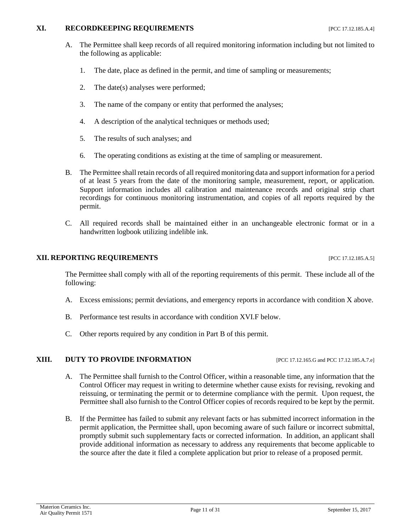#### **XI. RECORDKEEPING REQUIREMENTS** [PCC 17.12.185.A.4]

- A. The Permittee shall keep records of all required monitoring information including but not limited to the following as applicable:
	- 1. The date, place as defined in the permit, and time of sampling or measurements;
	- 2. The date(s) analyses were performed;
	- 3. The name of the company or entity that performed the analyses;
	- 4. A description of the analytical techniques or methods used;
	- 5. The results of such analyses; and
	- 6. The operating conditions as existing at the time of sampling or measurement.
- B. The Permittee shall retain records of all required monitoring data and support information for a period of at least 5 years from the date of the monitoring sample, measurement, report, or application. Support information includes all calibration and maintenance records and original strip chart recordings for continuous monitoring instrumentation, and copies of all reports required by the permit.
- C. All required records shall be maintained either in an unchangeable electronic format or in a handwritten logbook utilizing indelible ink.

#### **XII. REPORTING REQUIREMENTS** [PCC 17.12.185.A.5]

The Permittee shall comply with all of the reporting requirements of this permit. These include all of the following:

- A. Excess emissions; permit deviations, and emergency reports in accordance with condition X above.
- B. Performance test results in accordance with condition XVI.F below.
- C. Other reports required by any condition in Part B of this permit.

#### **XIII. DUTY TO PROVIDE INFORMATION** [PCC 17.12.165.G and PCC 17.12.185.A.7.e]

- A. The Permittee shall furnish to the Control Officer, within a reasonable time, any information that the Control Officer may request in writing to determine whether cause exists for revising, revoking and reissuing, or terminating the permit or to determine compliance with the permit. Upon request, the Permittee shall also furnish to the Control Officer copies of records required to be kept by the permit.
- B. If the Permittee has failed to submit any relevant facts or has submitted incorrect information in the permit application, the Permittee shall, upon becoming aware of such failure or incorrect submittal, promptly submit such supplementary facts or corrected information. In addition, an applicant shall provide additional information as necessary to address any requirements that become applicable to the source after the date it filed a complete application but prior to release of a proposed permit.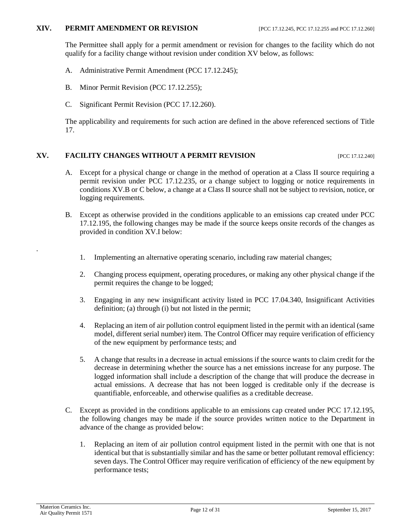#### **XIV. PERMIT AMENDMENT OR REVISION** [PCC 17.12.245, PCC 17.12.255 and PCC 17.12.260]

The Permittee shall apply for a permit amendment or revision for changes to the facility which do not qualify for a facility change without revision under condition XV below, as follows:

- A. Administrative Permit Amendment (PCC 17.12.245);
- B. Minor Permit Revision (PCC 17.12.255);
- C. Significant Permit Revision (PCC 17.12.260).

The applicability and requirements for such action are defined in the above referenced sections of Title 17.

# **XV. FACILITY CHANGES WITHOUT A PERMIT REVISION [PCC 17.12.240]**

- A. Except for a physical change or change in the method of operation at a Class II source requiring a permit revision under PCC 17.12.235, or a change subject to logging or notice requirements in conditions XV.B or C below, a change at a Class II source shall not be subject to revision, notice, or logging requirements.
- B. Except as otherwise provided in the conditions applicable to an emissions cap created under PCC 17.12.195, the following changes may be made if the source keeps onsite records of the changes as provided in condition XV.I below:
	- 1. Implementing an alternative operating scenario, including raw material changes;
	- 2. Changing process equipment, operating procedures, or making any other physical change if the permit requires the change to be logged;
	- 3. Engaging in any new insignificant activity listed in PCC 17.04.340, Insignificant Activities definition; (a) through (i) but not listed in the permit;
	- 4. Replacing an item of air pollution control equipment listed in the permit with an identical (same model, different serial number) item. The Control Officer may require verification of efficiency of the new equipment by performance tests; and
	- 5. A change that results in a decrease in actual emissions if the source wants to claim credit for the decrease in determining whether the source has a net emissions increase for any purpose. The logged information shall include a description of the change that will produce the decrease in actual emissions. A decrease that has not been logged is creditable only if the decrease is quantifiable, enforceable, and otherwise qualifies as a creditable decrease.
- C. Except as provided in the conditions applicable to an emissions cap created under PCC 17.12.195, the following changes may be made if the source provides written notice to the Department in advance of the change as provided below:
	- 1. Replacing an item of air pollution control equipment listed in the permit with one that is not identical but that is substantially similar and has the same or better pollutant removal efficiency: seven days. The Control Officer may require verification of efficiency of the new equipment by performance tests;

.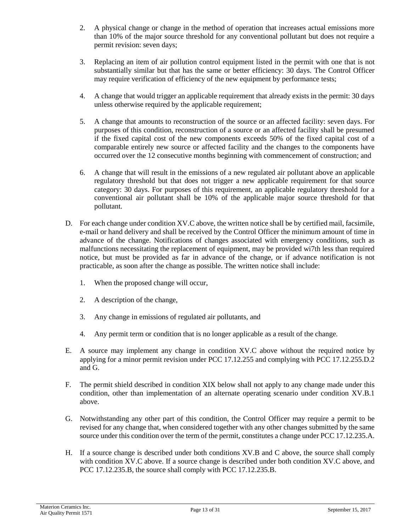- 2. A physical change or change in the method of operation that increases actual emissions more than 10% of the major source threshold for any conventional pollutant but does not require a permit revision: seven days;
- 3. Replacing an item of air pollution control equipment listed in the permit with one that is not substantially similar but that has the same or better efficiency: 30 days. The Control Officer may require verification of efficiency of the new equipment by performance tests;
- 4. A change that would trigger an applicable requirement that already exists in the permit: 30 days unless otherwise required by the applicable requirement;
- 5. A change that amounts to reconstruction of the source or an affected facility: seven days. For purposes of this condition, reconstruction of a source or an affected facility shall be presumed if the fixed capital cost of the new components exceeds 50% of the fixed capital cost of a comparable entirely new source or affected facility and the changes to the components have occurred over the 12 consecutive months beginning with commencement of construction; and
- 6. A change that will result in the emissions of a new regulated air pollutant above an applicable regulatory threshold but that does not trigger a new applicable requirement for that source category: 30 days. For purposes of this requirement, an applicable regulatory threshold for a conventional air pollutant shall be 10% of the applicable major source threshold for that pollutant.
- D. For each change under condition XV.C above, the written notice shall be by certified mail, facsimile, e-mail or hand delivery and shall be received by the Control Officer the minimum amount of time in advance of the change. Notifications of changes associated with emergency conditions, such as malfunctions necessitating the replacement of equipment, may be provided wi7th less than required notice, but must be provided as far in advance of the change, or if advance notification is not practicable, as soon after the change as possible. The written notice shall include:
	- 1. When the proposed change will occur,
	- 2. A description of the change,
	- 3. Any change in emissions of regulated air pollutants, and
	- 4. Any permit term or condition that is no longer applicable as a result of the change.
- E. A source may implement any change in condition XV.C above without the required notice by applying for a minor permit revision under PCC 17.12.255 and complying with PCC 17.12.255.D.2 and G.
- F. The permit shield described in condition XIX below shall not apply to any change made under this condition, other than implementation of an alternate operating scenario under condition XV.B.1 above.
- G. Notwithstanding any other part of this condition, the Control Officer may require a permit to be revised for any change that, when considered together with any other changes submitted by the same source under this condition over the term of the permit, constitutes a change under PCC 17.12.235.A.
- H. If a source change is described under both conditions XV.B and C above, the source shall comply with condition XV.C above. If a source change is described under both condition XV.C above, and PCC 17.12.235.B, the source shall comply with PCC 17.12.235.B.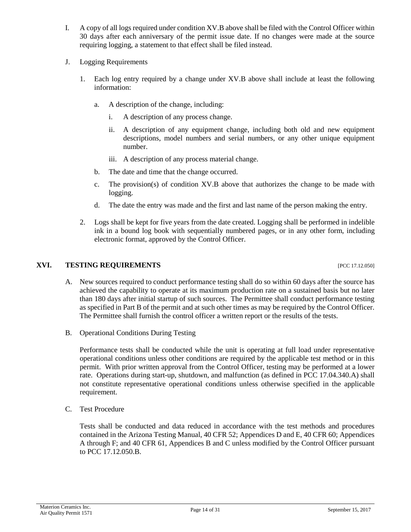- I. A copy of all logs required under condition XV.B above shall be filed with the Control Officer within 30 days after each anniversary of the permit issue date. If no changes were made at the source requiring logging, a statement to that effect shall be filed instead.
- J. Logging Requirements
	- 1. Each log entry required by a change under XV.B above shall include at least the following information:
		- a. A description of the change, including:
			- i. A description of any process change.
			- ii. A description of any equipment change, including both old and new equipment descriptions, model numbers and serial numbers, or any other unique equipment number.
			- iii. A description of any process material change.
		- b. The date and time that the change occurred.
		- c. The provision(s) of condition XV.B above that authorizes the change to be made with logging.
		- d. The date the entry was made and the first and last name of the person making the entry.
	- 2. Logs shall be kept for five years from the date created. Logging shall be performed in indelible ink in a bound log book with sequentially numbered pages, or in any other form, including electronic format, approved by the Control Officer.

### **XVI. TESTING REQUIREMENTS** [PCC 17.12.050]

- A. New sources required to conduct performance testing shall do so within 60 days after the source has achieved the capability to operate at its maximum production rate on a sustained basis but no later than 180 days after initial startup of such sources. The Permittee shall conduct performance testing as specified in Part B of the permit and at such other times as may be required by the Control Officer. The Permittee shall furnish the control officer a written report or the results of the tests.
- B. Operational Conditions During Testing

Performance tests shall be conducted while the unit is operating at full load under representative operational conditions unless other conditions are required by the applicable test method or in this permit. With prior written approval from the Control Officer, testing may be performed at a lower rate. Operations during start-up, shutdown, and malfunction (as defined in PCC 17.04.340.A) shall not constitute representative operational conditions unless otherwise specified in the applicable requirement.

C. Test Procedure

Tests shall be conducted and data reduced in accordance with the test methods and procedures contained in the Arizona Testing Manual, 40 CFR 52; Appendices D and E, 40 CFR 60; Appendices A through F; and 40 CFR 61, Appendices B and C unless modified by the Control Officer pursuant to PCC 17.12.050.B.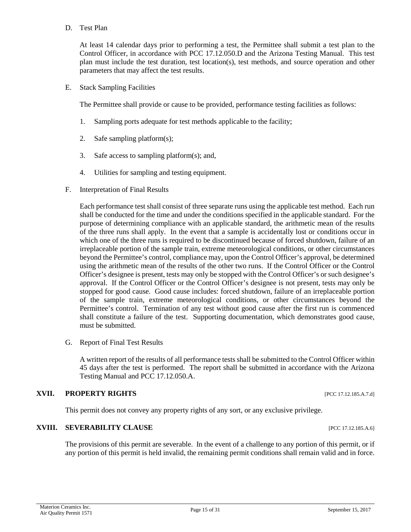#### D. Test Plan

At least 14 calendar days prior to performing a test, the Permittee shall submit a test plan to the Control Officer, in accordance with PCC 17.12.050.D and the Arizona Testing Manual. This test plan must include the test duration, test location(s), test methods, and source operation and other parameters that may affect the test results.

E. Stack Sampling Facilities

The Permittee shall provide or cause to be provided, performance testing facilities as follows:

- 1. Sampling ports adequate for test methods applicable to the facility;
- 2. Safe sampling platform(s);
- 3. Safe access to sampling platform(s); and,
- 4. Utilities for sampling and testing equipment.
- F. Interpretation of Final Results

Each performance test shall consist of three separate runs using the applicable test method. Each run shall be conducted for the time and under the conditions specified in the applicable standard. For the purpose of determining compliance with an applicable standard, the arithmetic mean of the results of the three runs shall apply. In the event that a sample is accidentally lost or conditions occur in which one of the three runs is required to be discontinued because of forced shutdown, failure of an irreplaceable portion of the sample train, extreme meteorological conditions, or other circumstances beyond the Permittee's control, compliance may, upon the Control Officer's approval, be determined using the arithmetic mean of the results of the other two runs. If the Control Officer or the Control Officer's designee is present, tests may only be stopped with the Control Officer's or such designee's approval. If the Control Officer or the Control Officer's designee is not present, tests may only be stopped for good cause. Good cause includes: forced shutdown, failure of an irreplaceable portion of the sample train, extreme meteorological conditions, or other circumstances beyond the Permittee's control. Termination of any test without good cause after the first run is commenced shall constitute a failure of the test. Supporting documentation, which demonstrates good cause, must be submitted.

G. Report of Final Test Results

A written report of the results of all performance tests shall be submitted to the Control Officer within 45 days after the test is performed. The report shall be submitted in accordance with the Arizona Testing Manual and PCC 17.12.050.A.

# **XVII. PROPERTY RIGHTS** [PCC 17.12.185.A.7.d]

This permit does not convey any property rights of any sort, or any exclusive privilege.

#### **XVIII. SEVERABILITY CLAUSE III. SEVERABILITY CLAUSE**

The provisions of this permit are severable. In the event of a challenge to any portion of this permit, or if any portion of this permit is held invalid, the remaining permit conditions shall remain valid and in force.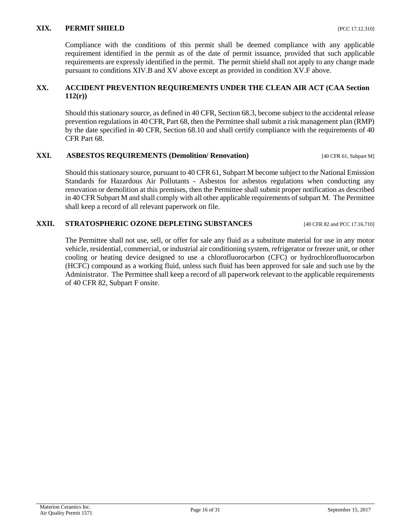#### **XIX. PERMIT SHIELD [PCC 17.12.310]**

Compliance with the conditions of this permit shall be deemed compliance with any applicable requirement identified in the permit as of the date of permit issuance, provided that such applicable requirements are expressly identified in the permit. The permit shield shall not apply to any change made pursuant to conditions XIV.B and XV above except as provided in condition XV.F above.

### **XX. ACCIDENT PREVENTION REQUIREMENTS UNDER THE CLEAN AIR ACT (CAA Section 112(r))**

Should this stationary source, as defined in 40 CFR, Section 68.3, become subject to the accidental release prevention regulations in 40 CFR, Part 68, then the Permittee shall submit a risk management plan (RMP) by the date specified in 40 CFR, Section 68.10 and shall certify compliance with the requirements of 40 CFR Part 68.

### **XXI. ASBESTOS REQUIREMENTS (Demolition/ Renovation)** [40 CFR 61, Subpart M]

Should this stationary source, pursuant to 40 CFR 61, Subpart M become subject to the National Emission Standards for Hazardous Air Pollutants - Asbestos for asbestos regulations when conducting any renovation or demolition at this premises, then the Permittee shall submit proper notification as described in 40 CFR Subpart M and shall comply with all other applicable requirements of subpart M. The Permittee shall keep a record of all relevant paperwork on file.

### **XXII. STRATOSPHERIC OZONE DEPLETING SUBSTANCES** [40 CFR 82 and PCC 17.16.710]

The Permittee shall not use, sell, or offer for sale any fluid as a substitute material for use in any motor vehicle, residential, commercial, or industrial air conditioning system, refrigerator or freezer unit, or other cooling or heating device designed to use a chlorofluorocarbon (CFC) or hydrochlorofluorocarbon (HCFC) compound as a working fluid, unless such fluid has been approved for sale and such use by the Administrator. The Permittee shall keep a record of all paperwork relevant to the applicable requirements of 40 CFR 82, Subpart F onsite.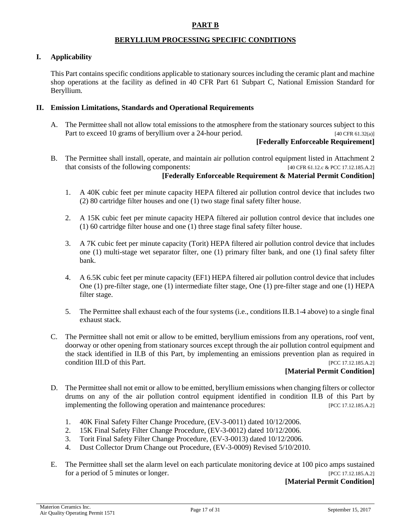#### **PART B**

#### **BERYLLIUM PROCESSING SPECIFIC CONDITIONS**

#### <span id="page-16-0"></span>**I. Applicability**

This Part contains specific conditions applicable to stationary sources including the ceramic plant and machine shop operations at the facility as defined in 40 CFR Part 61 Subpart C, National Emission Standard for Beryllium.

#### **II. Emission Limitations, Standards and Operational Requirements**

A. The Permittee shall not allow total emissions to the atmosphere from the stationary sources subject to this Part to exceed 10 grams of beryllium over a 24-hour period. [40 CFR 61.32(a)]

### **[Federally Enforceable Requirement]**

B. The Permittee shall install, operate, and maintain air pollution control equipment listed in Attachment 2 that consists of the following components: [40 CFR 61.12.c & PCC 17.12.185.A.2]

#### **[Federally Enforceable Requirement & Material Permit Condition]**

- 1. A 40K cubic feet per minute capacity HEPA filtered air pollution control device that includes two (2) 80 cartridge filter houses and one (1) two stage final safety filter house.
- 2. A 15K cubic feet per minute capacity HEPA filtered air pollution control device that includes one (1) 60 cartridge filter house and one (1) three stage final safety filter house.
- 3. A 7K cubic feet per minute capacity (Torit) HEPA filtered air pollution control device that includes one (1) multi-stage wet separator filter, one (1) primary filter bank, and one (1) final safety filter bank.
- 4. A 6.5K cubic feet per minute capacity (EF1) HEPA filtered air pollution control device that includes One (1) pre-filter stage, one (1) intermediate filter stage, One (1) pre-filter stage and one (1) HEPA filter stage.
- 5. The Permittee shall exhaust each of the four systems (i.e., conditions II.B.1-4 above) to a single final exhaust stack.
- C. The Permittee shall not emit or allow to be emitted, beryllium emissions from any operations, roof vent, doorway or other opening from stationary sources except through the air pollution control equipment and the stack identified in II.B of this Part, by implementing an emissions prevention plan as required in condition III.D of this Part. [PCC 17.12.185.A.2]

# **[Material Permit Condition]**

- D. The Permittee shall not emit or allow to be emitted, beryllium emissions when changing filters or collector drums on any of the air pollution control equipment identified in condition II.B of this Part by implementing the following operation and maintenance procedures: [PCC 17.12.185.A.2]
	- 1. 40K Final Safety Filter Change Procedure, (EV-3-0011) dated 10/12/2006.
	- 2. 15K Final Safety Filter Change Procedure, (EV-3-0012) dated 10/12/2006.
	- 3. Torit Final Safety Filter Change Procedure, (EV-3-0013) dated 10/12/2006.
	- 4. Dust Collector Drum Change out Procedure, (EV-3-0009) Revised 5/10/2010.
- E. The Permittee shall set the alarm level on each particulate monitoring device at 100 pico amps sustained for a period of 5 minutes or longer. [PCC 17.12.185.A.2]

#### **[Material Permit Condition]**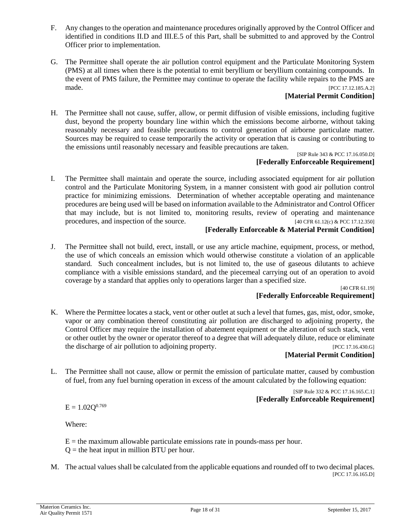- F. Any changes to the operation and maintenance procedures originally approved by the Control Officer and identified in conditions II.D and III.E.5 of this Part, shall be submitted to and approved by the Control Officer prior to implementation.
- G. The Permittee shall operate the air pollution control equipment and the Particulate Monitoring System (PMS) at all times when there is the potential to emit beryllium or beryllium containing compounds. In the event of PMS failure, the Permittee may continue to operate the facility while repairs to the PMS are made. [PCC 17.12.185.A.2]

# **[Material Permit Condition]**

H. The Permittee shall not cause, suffer, allow, or permit diffusion of visible emissions, including fugitive dust, beyond the property boundary line within which the emissions become airborne, without taking reasonably necessary and feasible precautions to control generation of airborne particulate matter. Sources may be required to cease temporarily the activity or operation that is causing or contributing to the emissions until reasonably necessary and feasible precautions are taken.

#### [SIP Rule 343 & PCC 17.16.050.D] **[Federally Enforceable Requirement]**

I. The Permittee shall maintain and operate the source, including associated equipment for air pollution control and the Particulate Monitoring System, in a manner consistent with good air pollution control practice for minimizing emissions. Determination of whether acceptable operating and maintenance procedures are being used will be based on information available to the Administrator and Control Officer that may include, but is not limited to, monitoring results, review of operating and maintenance procedures, and inspection of the source. [40 CFR 61.12(c) & PCC 17.12.350]

### **[Federally Enforceable & Material Permit Condition]**

J. The Permittee shall not build, erect, install, or use any article machine, equipment, process, or method, the use of which conceals an emission which would otherwise constitute a violation of an applicable standard. Such concealment includes, but is not limited to, the use of gaseous dilutants to achieve compliance with a visible emissions standard, and the piecemeal carrying out of an operation to avoid coverage by a standard that applies only to operations larger than a specified size.

[40 CFR 61.19] **[Federally Enforceable Requirement]**

K. Where the Permittee locates a stack, vent or other outlet at such a level that fumes, gas, mist, odor, smoke, vapor or any combination thereof constituting air pollution are discharged to adjoining property, the Control Officer may require the installation of abatement equipment or the alteration of such stack, vent or other outlet by the owner or operator thereof to a degree that will adequately dilute, reduce or eliminate the discharge of air pollution to adjoining property. [PCC 17.16.430.G]

#### **[Material Permit Condition]**

L. The Permittee shall not cause, allow or permit the emission of particulate matter, caused by combustion of fuel, from any fuel burning operation in excess of the amount calculated by the following equation:

> [SIP Rule 332 & PCC 17.16.165.C.1] **[Federally Enforceable Requirement]**

 $E = 1.02 Q^{0.769}$ 

Where:

 $E =$  the maximum allowable particulate emissions rate in pounds-mass per hour.  $Q =$  the heat input in million BTU per hour.

M. The actual values shall be calculated from the applicable equations and rounded off to two decimal places. [PCC 17.16.165.D]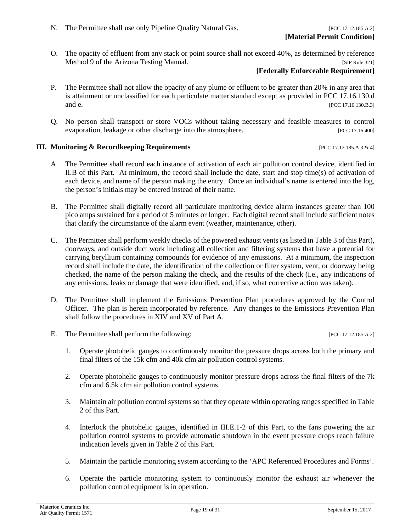N. The Permittee shall use only Pipeline Quality Natural Gas. [PCC 17.12.185.A.2]

O. The opacity of effluent from any stack or point source shall not exceed 40%, as determined by reference Method 9 of the Arizona Testing Manual. *ISIP Rule 321]* [SIP Rule 321]

# **[Federally Enforceable Requirement]**

- P. The Permittee shall not allow the opacity of any plume or effluent to be greater than 20% in any area that is attainment or unclassified for each particulate matter standard except as provided in PCC 17.16.130.d and e. **[PCC 17.16.130.B.3]**
- Q. No person shall transport or store VOCs without taking necessary and feasible measures to control evaporation, leakage or other discharge into the atmosphere. [PCC 17.16.400]

### **III. Monitoring & Recordkeeping Requirements** [PCC 17.12.185.A.3 & 4]

- A. The Permittee shall record each instance of activation of each air pollution control device, identified in II.B of this Part. At minimum, the record shall include the date, start and stop time(s) of activation of each device, and name of the person making the entry. Once an individual's name is entered into the log, the person's initials may be entered instead of their name.
- B. The Permittee shall digitally record all particulate monitoring device alarm instances greater than 100 pico amps sustained for a period of 5 minutes or longer. Each digital record shall include sufficient notes that clarify the circumstance of the alarm event (weather, maintenance, other).
- C. The Permittee shall perform weekly checks of the powered exhaust vents (as listed in Table 3 of this Part), doorways, and outside duct work including all collection and filtering systems that have a potential for carrying beryllium containing compounds for evidence of any emissions. At a minimum, the inspection record shall include the date, the identification of the collection or filter system, vent, or doorway being checked, the name of the person making the check, and the results of the check (i.e., any indications of any emissions, leaks or damage that were identified, and, if so, what corrective action was taken).
- D. The Permittee shall implement the Emissions Prevention Plan procedures approved by the Control Officer. The plan is herein incorporated by reference. Any changes to the Emissions Prevention Plan shall follow the procedures in XIV and XV of Part A.
- E. The Permittee shall perform the following: [PCC 17.12.185.A.2]
	- 1. Operate photohelic gauges to continuously monitor the pressure drops across both the primary and final filters of the 15k cfm and 40k cfm air pollution control systems.
	- 2. Operate photohelic gauges to continuously monitor pressure drops across the final filters of the 7k cfm and 6.5k cfm air pollution control systems.
	- 3. Maintain air pollution control systems so that they operate within operating ranges specified in Table 2 of this Part.
	- 4. Interlock the photohelic gauges, identified in III.E.1-2 of this Part, to the fans powering the air pollution control systems to provide automatic shutdown in the event pressure drops reach failure indication levels given in Table 2 of this Part.
	- 5. Maintain the particle monitoring system according to the 'APC Referenced Procedures and Forms'.
	- 6. Operate the particle monitoring system to continuously monitor the exhaust air whenever the pollution control equipment is in operation.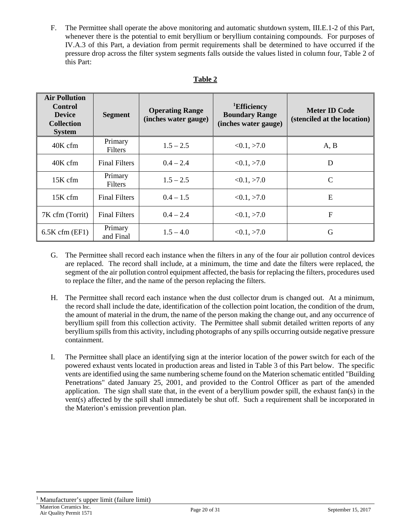F. The Permittee shall operate the above monitoring and automatic shutdown system, III.E.1-2 of this Part, whenever there is the potential to emit beryllium or beryllium containing compounds. For purposes of IV.A.3 of this Part, a deviation from permit requirements shall be determined to have occurred if the pressure drop across the filter system segments falls outside the values listed in column four, Table 2 of this Part:

| <b>Air Pollution</b><br><b>Control</b><br><b>Device</b><br><b>Collection</b><br><b>System</b> | <b>Segment</b>            | <b>Operating Range</b><br>(inches water gauge) | <sup>1</sup> Efficiency<br><b>Boundary Range</b><br>(inches water gauge) | <b>Meter ID Code</b><br>(stenciled at the location) |
|-----------------------------------------------------------------------------------------------|---------------------------|------------------------------------------------|--------------------------------------------------------------------------|-----------------------------------------------------|
| $40K$ cfm                                                                                     | Primary<br><b>Filters</b> | $1.5 - 2.5$                                    | <0.1, >7.0                                                               | A, B                                                |
| $40K$ cfm                                                                                     | <b>Final Filters</b>      | $0.4 - 2.4$                                    | <0.1, >7.0                                                               | D                                                   |
| 15K cfm                                                                                       | Primary<br><b>Filters</b> | $1.5 - 2.5$                                    | <0.1, >7.0                                                               | C                                                   |
| 15K cfm                                                                                       | <b>Final Filters</b>      | $0.4 - 1.5$                                    | <0.1, >7.0                                                               | E                                                   |
| 7K cfm (Torrit)                                                                               | <b>Final Filters</b>      | $0.4 - 2.4$                                    | <0.1, >7.0                                                               | $\boldsymbol{\mathrm{F}}$                           |
| $6.5K$ cfm (EF1)                                                                              | Primary<br>and Final      | $1.5 - 4.0$                                    | <0.1, >7.0                                                               | G                                                   |

- G. The Permittee shall record each instance when the filters in any of the four air pollution control devices are replaced. The record shall include, at a minimum, the time and date the filters were replaced, the segment of the air pollution control equipment affected, the basis for replacing the filters, procedures used to replace the filter, and the name of the person replacing the filters.
- H. The Permittee shall record each instance when the dust collector drum is changed out. At a minimum, the record shall include the date, identification of the collection point location, the condition of the drum, the amount of material in the drum, the name of the person making the change out, and any occurrence of beryllium spill from this collection activity. The Permittee shall submit detailed written reports of any beryllium spills from this activity, including photographs of any spills occurring outside negative pressure containment.
- I. The Permittee shall place an identifying sign at the interior location of the power switch for each of the powered exhaust vents located in production areas and listed in Table 3 of this Part below. The specific vents are identified using the same numbering scheme found on the Materion schematic entitled "Building Penetrations" dated January 25, 2001, and provided to the Control Officer as part of the amended application. The sign shall state that, in the event of a beryllium powder spill, the exhaust fan(s) in the vent(s) affected by the spill shall immediately be shut off. Such a requirement shall be incorporated in the Materion's emission prevention plan.

<span id="page-19-0"></span>Materion Ceramics Inc. <sup>1</sup> Manufacturer's upper limit (failure limit)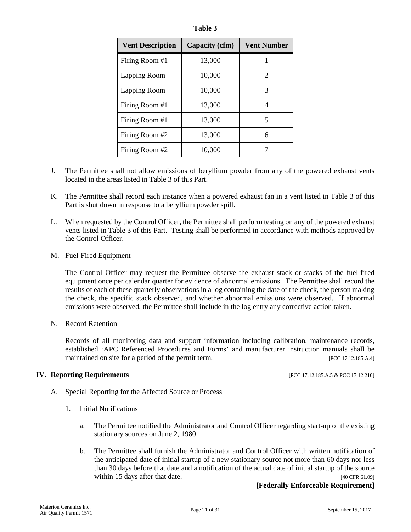| <b>Vent Description</b> | Capacity (cfm) | <b>Vent Number</b> |
|-------------------------|----------------|--------------------|
| Firing Room #1          | 13,000         |                    |
| Lapping Room            | 10,000         | 2                  |
| Lapping Room            | 10,000         | 3                  |
| Firing Room #1          | 13,000         | 4                  |
| Firing Room #1          | 13,000         | 5                  |
| Firing Room #2          | 13,000         | 6                  |
| Firing Room #2          | 10,000         |                    |

**Table 3**

- J. The Permittee shall not allow emissions of beryllium powder from any of the powered exhaust vents located in the areas listed in Table 3 of this Part.
- K. The Permittee shall record each instance when a powered exhaust fan in a vent listed in Table 3 of this Part is shut down in response to a beryllium powder spill.
- L. When requested by the Control Officer, the Permittee shall perform testing on any of the powered exhaust vents listed in Table 3 of this Part. Testing shall be performed in accordance with methods approved by the Control Officer.
- M. Fuel-Fired Equipment

The Control Officer may request the Permittee observe the exhaust stack or stacks of the fuel-fired equipment once per calendar quarter for evidence of abnormal emissions. The Permittee shall record the results of each of these quarterly observations in a log containing the date of the check, the person making the check, the specific stack observed, and whether abnormal emissions were observed. If abnormal emissions were observed, the Permittee shall include in the log entry any corrective action taken.

N. Record Retention

Records of all monitoring data and support information including calibration, maintenance records, established 'APC Referenced Procedures and Forms' and manufacturer instruction manuals shall be maintained on site for a period of the permit term. [PCC 17.12.185.A.4]

#### **IV. Reporting Requirements** [PCC 17.12.185.A.5 & PCC 17.12.210]

- A. Special Reporting for the Affected Source or Process
	- 1. Initial Notifications
		- a. The Permittee notified the Administrator and Control Officer regarding start-up of the existing stationary sources on June 2, 1980.
		- b. The Permittee shall furnish the Administrator and Control Officer with written notification of the anticipated date of initial startup of a new stationary source not more than 60 days nor less than 30 days before that date and a notification of the actual date of initial startup of the source within 15 days after that date. [40 CFR 61.09]

#### **[Federally Enforceable Requirement]**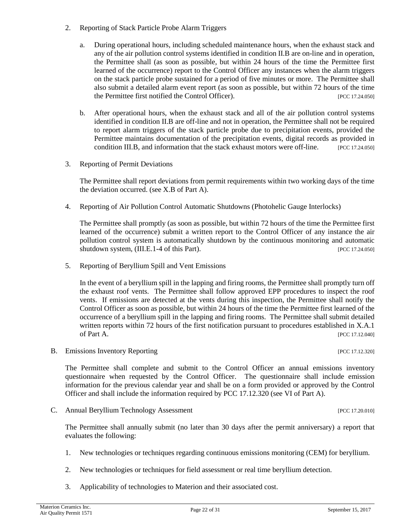- 2. Reporting of Stack Particle Probe Alarm Triggers
	- a. During operational hours, including scheduled maintenance hours, when the exhaust stack and any of the air pollution control systems identified in condition II.B are on-line and in operation, the Permittee shall (as soon as possible, but within 24 hours of the time the Permittee first learned of the occurrence) report to the Control Officer any instances when the alarm triggers on the stack particle probe sustained for a period of five minutes or more. The Permittee shall also submit a detailed alarm event report (as soon as possible, but within 72 hours of the time the Permittee first notified the Control Officer). [PCC 17.24.050]
	- b. After operational hours, when the exhaust stack and all of the air pollution control systems identified in condition II.B are off-line and not in operation, the Permittee shall not be required to report alarm triggers of the stack particle probe due to precipitation events, provided the Permittee maintains documentation of the precipitation events, digital records as provided in condition III.B, and information that the stack exhaust motors were off-line. [PCC 17.24.050]
- 3. Reporting of Permit Deviations

The Permittee shall report deviations from permit requirements within two working days of the time the deviation occurred. (see X.B of Part A).

4. Reporting of Air Pollution Control Automatic Shutdowns (Photohelic Gauge Interlocks)

The Permittee shall promptly (as soon as possible, but within 72 hours of the time the Permittee first learned of the occurrence) submit a written report to the Control Officer of any instance the air pollution control system is automatically shutdown by the continuous monitoring and automatic shutdown system, (III.E.1-4 of this Part). [PCC 17.24.050]

5. Reporting of Beryllium Spill and Vent Emissions

In the event of a beryllium spill in the lapping and firing rooms, the Permittee shall promptly turn off the exhaust roof vents. The Permittee shall follow approved EPP procedures to inspect the roof vents. If emissions are detected at the vents during this inspection, the Permittee shall notify the Control Officer as soon as possible, but within 24 hours of the time the Permittee first learned of the occurrence of a beryllium spill in the lapping and firing rooms. The Permittee shall submit detailed written reports within 72 hours of the first notification pursuant to procedures established in X.A.1 of Part A. [PCC 17.12.040]

B. Emissions Inventory Reporting [PCC 17.12.320]

The Permittee shall complete and submit to the Control Officer an annual emissions inventory questionnaire when requested by the Control Officer. The questionnaire shall include emission information for the previous calendar year and shall be on a form provided or approved by the Control Officer and shall include the information required by PCC 17.12.320 (see VI of Part A).

C. Annual Beryllium Technology Assessment [PCC 17.20.010]

The Permittee shall annually submit (no later than 30 days after the permit anniversary) a report that evaluates the following:

- 1. New technologies or techniques regarding continuous emissions monitoring (CEM) for beryllium.
- 2. New technologies or techniques for field assessment or real time beryllium detection.
- 3. Applicability of technologies to Materion and their associated cost.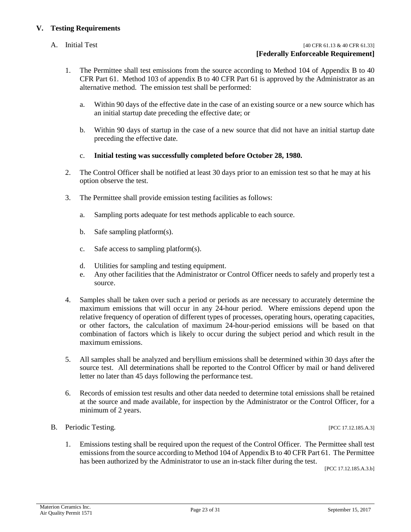### **V. Testing Requirements**

#### A. Initial Test [40 CFR 61.13 & 40 CFR 61.33] **[Federally Enforceable Requirement]**

- 1. The Permittee shall test emissions from the source according to Method 104 of Appendix B to 40 CFR Part 61. Method 103 of appendix B to 40 CFR Part 61 is approved by the Administrator as an alternative method. The emission test shall be performed:
	- a. Within 90 days of the effective date in the case of an existing source or a new source which has an initial startup date preceding the effective date; or
	- b. Within 90 days of startup in the case of a new source that did not have an initial startup date preceding the effective date.
	- c. **Initial testing was successfully completed before October 28, 1980.**
- 2. The Control Officer shall be notified at least 30 days prior to an emission test so that he may at his option observe the test.
- 3. The Permittee shall provide emission testing facilities as follows:
	- a. Sampling ports adequate for test methods applicable to each source.
	- b. Safe sampling platform(s).
	- c. Safe access to sampling platform(s).
	- d. Utilities for sampling and testing equipment.
	- e. Any other facilities that the Administrator or Control Officer needs to safely and properly test a source.
- 4. Samples shall be taken over such a period or periods as are necessary to accurately determine the maximum emissions that will occur in any 24-hour period. Where emissions depend upon the relative frequency of operation of different types of processes, operating hours, operating capacities, or other factors, the calculation of maximum 24-hour-period emissions will be based on that combination of factors which is likely to occur during the subject period and which result in the maximum emissions.
- 5. All samples shall be analyzed and beryllium emissions shall be determined within 30 days after the source test. All determinations shall be reported to the Control Officer by mail or hand delivered letter no later than 45 days following the performance test.
- 6. Records of emission test results and other data needed to determine total emissions shall be retained at the source and made available, for inspection by the Administrator or the Control Officer, for a minimum of 2 years.
- B. Periodic Testing. [PCC 17.12.185.A.3]

1. Emissions testing shall be required upon the request of the Control Officer. The Permittee shall test

emissions from the source according to Method 104 of Appendix B to 40 CFR Part 61. The Permittee has been authorized by the Administrator to use an in-stack filter during the test.<br>[PCC 17.12.185.A.3.b]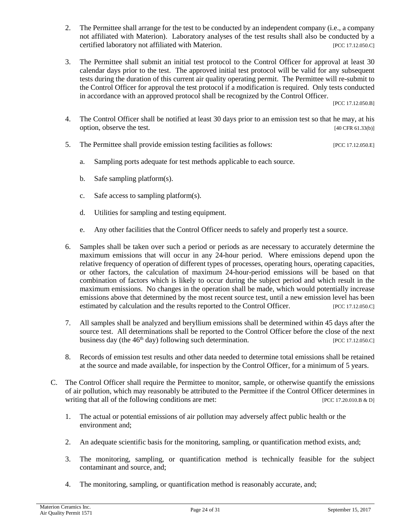- 2. The Permittee shall arrange for the test to be conducted by an independent company (i.e., a company not affiliated with Materion). Laboratory analyses of the test results shall also be conducted by a certified laboratory not affiliated with Materion. [PCC 17.12.050.C]
- 3. The Permittee shall submit an initial test protocol to the Control Officer for approval at least 30 calendar days prior to the test. The approved initial test protocol will be valid for any subsequent tests during the duration of this current air quality operating permit. The Permittee will re-submit to the Control Officer for approval the test protocol if a modification is required. Only tests conducted in accordance with an approved protocol shall be recognized by the Control Officer.

[PCC 17.12.050.B]

- 4. The Control Officer shall be notified at least 30 days prior to an emission test so that he may, at his option, observe the test. [40 CFR 61.33(b)]
- 5. The Permittee shall provide emission testing facilities as follows: [PCC 17.12.050.E]
	- a. Sampling ports adequate for test methods applicable to each source.
	- b. Safe sampling platform(s).
	- c. Safe access to sampling platform(s).
	- d. Utilities for sampling and testing equipment.
	- e. Any other facilities that the Control Officer needs to safely and properly test a source.
- 6. Samples shall be taken over such a period or periods as are necessary to accurately determine the maximum emissions that will occur in any 24-hour period. Where emissions depend upon the relative frequency of operation of different types of processes, operating hours, operating capacities, or other factors, the calculation of maximum 24-hour-period emissions will be based on that combination of factors which is likely to occur during the subject period and which result in the maximum emissions. No changes in the operation shall be made, which would potentially increase emissions above that determined by the most recent source test, until a new emission level has been estimated by calculation and the results reported to the Control Officer. [PCC 17.12.050.C]
- 7. All samples shall be analyzed and beryllium emissions shall be determined within 45 days after the source test. All determinations shall be reported to the Control Officer before the close of the next business day (the 46<sup>th</sup> day) following such determination. [PCC 17.12.050.C]
- 8. Records of emission test results and other data needed to determine total emissions shall be retained at the source and made available, for inspection by the Control Officer, for a minimum of 5 years.
- C. The Control Officer shall require the Permittee to monitor, sample, or otherwise quantify the emissions of air pollution, which may reasonably be attributed to the Permittee if the Control Officer determines in writing that all of the following conditions are met: [PCC 17.20.010.B & D]
	- 1. The actual or potential emissions of air pollution may adversely affect public health or the environment and;
	- 2. An adequate scientific basis for the monitoring, sampling, or quantification method exists, and;
	- 3. The monitoring, sampling, or quantification method is technically feasible for the subject contaminant and source, and;
	- 4. The monitoring, sampling, or quantification method is reasonably accurate, and;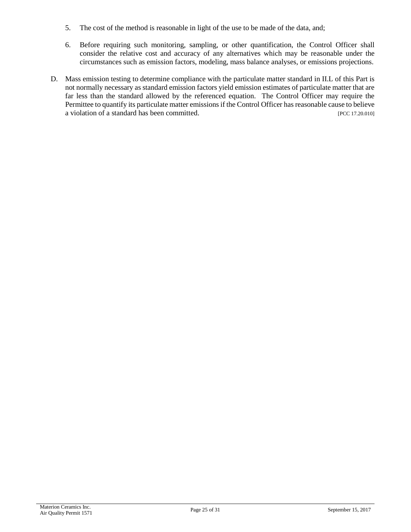- 5. The cost of the method is reasonable in light of the use to be made of the data, and;
- 6. Before requiring such monitoring, sampling, or other quantification, the Control Officer shall consider the relative cost and accuracy of any alternatives which may be reasonable under the circumstances such as emission factors, modeling, mass balance analyses, or emissions projections.
- D. Mass emission testing to determine compliance with the particulate matter standard in II.L of this Part is not normally necessary as standard emission factors yield emission estimates of particulate matter that are far less than the standard allowed by the referenced equation. The Control Officer may require the Permittee to quantify its particulate matter emissions if the Control Officer has reasonable cause to believe a violation of a standard has been committed. [PCC 17.20.010]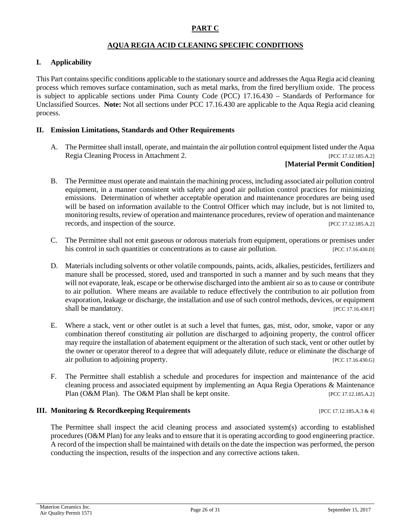#### **AQUA REGIA ACID CLEANING SPECIFIC CONDITIONS**

#### <span id="page-25-0"></span>**I. Applicability**

This Part contains specific conditions applicable to the stationary source and addresses the Aqua Regia acid cleaning process which removes surface contamination, such as metal marks, from the fired beryllium oxide. The process is subject to applicable sections under Pima County Code (PCC) 17.16.430 – Standards of Performance for Unclassified Sources. **Note:** Not all sections under PCC 17.16.430 are applicable to the Aqua Regia acid cleaning process.

#### **II. Emission Limitations, Standards and Other Requirements**

A. The Permittee shall install, operate, and maintain the air pollution control equipment listed under the Aqua Regia Cleaning Process in Attachment 2. [PCC 17.12.185.A.2]

#### **[Material Permit Condition]**

- B. The Permittee must operate and maintain the machining process, including associated air pollution control equipment, in a manner consistent with safety and good air pollution control practices for minimizing emissions. Determination of whether acceptable operation and maintenance procedures are being used will be based on information available to the Control Officer which may include, but is not limited to, monitoring results, review of operation and maintenance procedures, review of operation and maintenance records, and inspection of the source. [PCC 17.12.185.A.2]
- C. The Permittee shall not emit gaseous or odorous materials from equipment, operations or premises under his control in such quantities or concentrations as to cause air pollution. [PCC 17.16.430.D]
- D. Materials including solvents or other volatile compounds, paints, acids, alkalies, pesticides, fertilizers and manure shall be processed, stored, used and transported in such a manner and by such means that they will not evaporate, leak, escape or be otherwise discharged into the ambient air so as to cause or contribute to air pollution. Where means are available to reduce effectively the contribution to air pollution from evaporation, leakage or discharge, the installation and use of such control methods, devices, or equipment shall be mandatory. [PCC 17.16.430.F]
- E. Where a stack, vent or other outlet is at such a level that fumes, gas, mist, odor, smoke, vapor or any combination thereof constituting air pollution are discharged to adjoining property, the control officer may require the installation of abatement equipment or the alteration of such stack, vent or other outlet by the owner or operator thereof to a degree that will adequately dilute, reduce or eliminate the discharge of air pollution to adjoining property. The same state of the state of the state of the state of the state of the state of the state of the state of the state of the state of the state of the state of the state of the state o
- F. The Permittee shall establish a schedule and procedures for inspection and maintenance of the acid cleaning process and associated equipment by implementing an Aqua Regia Operations & Maintenance Plan (O&M Plan). The O&M Plan shall be kept onsite. [PCC 17.12.185.A.2]

#### **III. Monitoring & Recordkeeping Requirements** [PCC 17.12.185.A.3 & 4]

The Permittee shall inspect the acid cleaning process and associated system(s) according to established procedures (O&M Plan) for any leaks and to ensure that it is operating according to good engineering practice. A record of the inspection shall be maintained with details on the date the inspection was performed, the person conducting the inspection, results of the inspection and any corrective actions taken.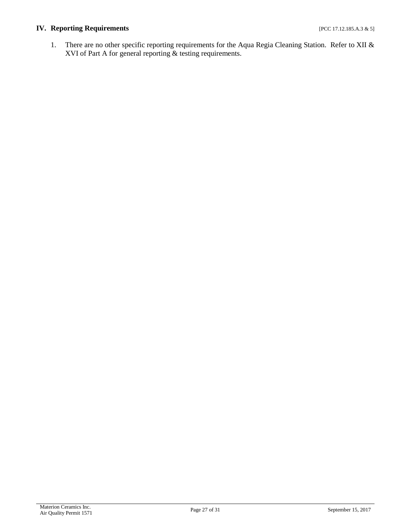# **IV. Reporting Requirements** [PCC 17.12.185.A.3 & 5]

1. There are no other specific reporting requirements for the Aqua Regia Cleaning Station. Refer to XII & XVI of Part A for general reporting & testing requirements.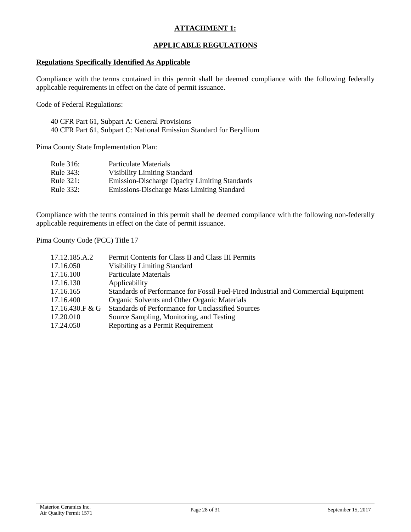# **ATTACHMENT 1:**

#### **APPLICABLE REGULATIONS**

#### <span id="page-27-0"></span>**Regulations Specifically Identified As Applicable**

Compliance with the terms contained in this permit shall be deemed compliance with the following federally applicable requirements in effect on the date of permit issuance.

Code of Federal Regulations:

40 CFR Part 61, Subpart A: General Provisions 40 CFR Part 61, Subpart C: National Emission Standard for Beryllium

Pima County State Implementation Plan:

| Rule 316:    | Particulate Materials                                |
|--------------|------------------------------------------------------|
| Rule 343:    | <b>Visibility Limiting Standard</b>                  |
| Rule $321$ : | <b>Emission-Discharge Opacity Limiting Standards</b> |
| Rule 332:    | Emissions-Discharge Mass Limiting Standard           |

Compliance with the terms contained in this permit shall be deemed compliance with the following non-federally applicable requirements in effect on the date of permit issuance.

Pima County Code (PCC) Title 17

| 17.12.185.A.2   | Permit Contents for Class II and Class III Permits                                 |
|-----------------|------------------------------------------------------------------------------------|
| 17.16.050       | <b>Visibility Limiting Standard</b>                                                |
| 17.16.100       | <b>Particulate Materials</b>                                                       |
| 17.16.130       | Applicability                                                                      |
| 17.16.165       | Standards of Performance for Fossil Fuel-Fired Industrial and Commercial Equipment |
| 17.16.400       | Organic Solvents and Other Organic Materials                                       |
| 17.16.430.F & G | Standards of Performance for Unclassified Sources                                  |
| 17.20.010       | Source Sampling, Monitoring, and Testing                                           |
| 17.24.050       | Reporting as a Permit Requirement                                                  |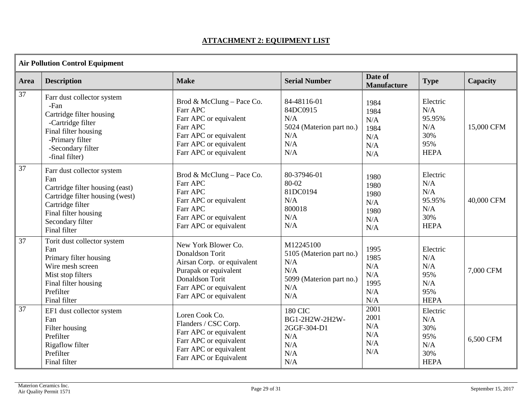# **ATTACHMENT 2: EQUIPMENT LIST**

<span id="page-28-0"></span>

| <b>Air Pollution Control Equipment</b> |                                                                                                                                                                                         |                                                                                                                                                                      |                                                                                               |                                                   |                                                               |            |
|----------------------------------------|-----------------------------------------------------------------------------------------------------------------------------------------------------------------------------------------|----------------------------------------------------------------------------------------------------------------------------------------------------------------------|-----------------------------------------------------------------------------------------------|---------------------------------------------------|---------------------------------------------------------------|------------|
| Area                                   | <b>Description</b>                                                                                                                                                                      | <b>Make</b>                                                                                                                                                          | <b>Serial Number</b>                                                                          | Date of<br><b>Manufacture</b>                     | <b>Type</b>                                                   | Capacity   |
| 37                                     | Farr dust collector system<br>-Fan<br>Cartridge filter housing<br>-Cartridge filter<br>Final filter housing<br>-Primary filter<br>-Secondary filter<br>-final filter)                   | Brod & McClung - Pace Co.<br>Farr APC<br>Farr APC or equivalent<br>Farr APC<br>Farr APC or equivalent<br>Farr APC or equivalent<br>Farr APC or equivalent            | 84-48116-01<br>84DC0915<br>N/A<br>5024 (Materion part no.)<br>N/A<br>N/A<br>N/A               | 1984<br>1984<br>N/A<br>1984<br>N/A<br>N/A<br>N/A  | Electric<br>N/A<br>95.95%<br>N/A<br>30%<br>95%<br><b>HEPA</b> | 15,000 CFM |
| 37                                     | Farr dust collector system<br>Fan<br>Cartridge filter housing (east)<br>Cartridge filter housing (west)<br>Cartridge filter<br>Final filter housing<br>Secondary filter<br>Final filter | Brod & McClung - Pace Co.<br>Farr APC<br>Farr APC<br>Farr APC or equivalent<br>Farr APC<br>Farr APC or equivalent<br>Farr APC or equivalent                          | 80-37946-01<br>80-02<br>81DC0194<br>N/A<br>800018<br>N/A<br>N/A                               | 1980<br>1980<br>1980<br>N/A<br>1980<br>N/A<br>N/A | Electric<br>N/A<br>N/A<br>95.95%<br>N/A<br>30%<br><b>HEPA</b> | 40,000 CFM |
| 37                                     | Torit dust collector system<br>Fan<br>Primary filter housing<br>Wire mesh screen<br>Mist stop filters<br>Final filter housing<br>Prefilter<br>Final filter                              | New York Blower Co.<br>Donaldson Torit<br>Airsan Corp. or equivalent<br>Purapak or equivalent<br>Donaldson Torit<br>Farr APC or equivalent<br>Farr APC or equivalent | M12245100<br>5105 (Materion part no.)<br>N/A<br>N/A<br>5099 (Materion part no.)<br>N/A<br>N/A | 1995<br>1985<br>N/A<br>N/A<br>1995<br>N/A<br>N/A  | Electric<br>N/A<br>N/A<br>95%<br>N/A<br>95%<br><b>HEPA</b>    | 7,000 CFM  |
| 37                                     | EF1 dust collector system<br>Fan<br>Filter housing<br>Prefilter<br>Rigaflow filter<br>Prefilter<br>Final filter                                                                         | Loren Cook Co.<br>Flanders / CSC Corp.<br>Farr APC or equivalent<br>Farr APC or equivalent<br>Farr APC or equivalent<br>Farr APC or Equivalent                       | <b>180 CIC</b><br>BG1-2H2W-2H2W-<br>2GGF-304-D1<br>N/A<br>N/A<br>N/A<br>N/A                   | 2001<br>2001<br>N/A<br>N/A<br>N/A<br>N/A          | Electric<br>N/A<br>30%<br>95%<br>N/A<br>30%<br><b>HEPA</b>    | 6,500 CFM  |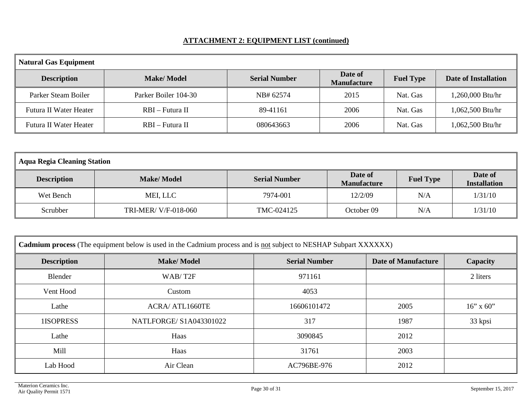# **ATTACHMENT 2: EQUIPMENT LIST (continued)**

| <b>Natural Gas Equipment</b> |                      |                      |                               |                  |                      |
|------------------------------|----------------------|----------------------|-------------------------------|------------------|----------------------|
| <b>Description</b>           | <b>Make/Model</b>    | <b>Serial Number</b> | Date of<br><b>Manufacture</b> | <b>Fuel Type</b> | Date of Installation |
| Parker Steam Boiler          | Parker Boiler 104-30 | NB# 62574            | 2015                          | Nat. Gas         | 1,260,000 Btu/hr     |
| Futura II Water Heater       | RBI – Futura II      | 89-41161             | 2006                          | Nat. Gas         | 1,062,500 Btu/hr     |
| Futura II Water Heater       | RBI – Futura II      | 080643663            | 2006                          | Nat. Gas         | 1,062,500 Btu/hr     |

| <b>Aqua Regia Cleaning Station</b> |                     |                      |                               |                  |                                |  |  |
|------------------------------------|---------------------|----------------------|-------------------------------|------------------|--------------------------------|--|--|
| <b>Description</b>                 | <b>Make/Model</b>   | <b>Serial Number</b> | Date of<br><b>Manufacture</b> | <b>Fuel Type</b> | Date of<br><b>Installation</b> |  |  |
| Wet Bench                          | MEI, LLC            | 7974-001             | 12/2/09                       | N/A              | 1/31/10                        |  |  |
| Scrubber                           | TRI-MER/V/F-018-060 | TMC-024125           | October 09                    | N/A              | 1/31/10                        |  |  |

| Cadmium process (The equipment below is used in the Cadmium process and is not subject to NESHAP Subpart XXXXXX) |                         |             |      |              |  |  |  |
|------------------------------------------------------------------------------------------------------------------|-------------------------|-------------|------|--------------|--|--|--|
| <b>Make/Model</b><br>Date of Manufacture<br><b>Description</b><br><b>Serial Number</b><br>Capacity               |                         |             |      |              |  |  |  |
| Blender                                                                                                          | WAB/T2F                 | 971161      |      | 2 liters     |  |  |  |
| Vent Hood                                                                                                        | Custom                  | 4053        |      |              |  |  |  |
| Lathe                                                                                                            | <b>ACRA/ ATL1660TE</b>  | 16606101472 | 2005 | $16''$ x 60" |  |  |  |
| 1ISOPRESS                                                                                                        | NATLFORGE/ S1A043301022 | 317         | 1987 | 33 kpsi      |  |  |  |
| Lathe                                                                                                            | Haas                    | 3090845     | 2012 |              |  |  |  |
| Mill                                                                                                             | Haas                    | 31761       | 2003 |              |  |  |  |
| Lab Hood                                                                                                         | Air Clean               | AC796BE-976 | 2012 |              |  |  |  |